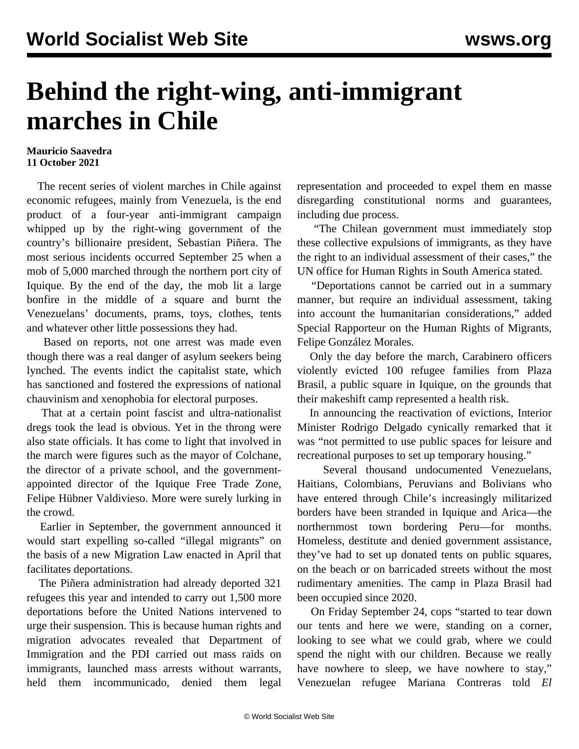## **Behind the right-wing, anti-immigrant marches in Chile**

## **Mauricio Saavedra 11 October 2021**

 The recent series of violent marches in Chile against economic refugees, mainly from Venezuela, is the end product of a four-year anti-immigrant campaign whipped up by the right-wing government of the country's billionaire president, Sebastian Piñera. The most serious incidents occurred September 25 when a mob of 5,000 marched through the northern port city of Iquique. By the end of the day, the mob lit a large bonfire in the middle of a square and burnt the Venezuelans' documents, prams, toys, clothes, tents and whatever other little possessions they had.

 Based on reports, not one arrest was made even though there was a real danger of asylum seekers being lynched. The events indict the capitalist state, which has sanctioned and fostered the expressions of national chauvinism and xenophobia for electoral purposes.

 That at a certain point fascist and ultra-nationalist dregs took the lead is obvious. Yet in the throng were also state officials. It has come to light that involved in the march were figures such as the mayor of Colchane, the director of a private school, and the governmentappointed director of the Iquique Free Trade Zone, Felipe Hübner Valdivieso. More were surely lurking in the crowd.

 Earlier in September, the government announced it would start expelling so-called "illegal migrants" on the basis of a new Migration Law enacted in April that facilitates deportations.

 The Piñera administration had already deported 321 refugees this year and intended to carry out 1,500 more deportations before the United Nations intervened to urge their suspension. This is because human rights and migration advocates revealed that Department of Immigration and the PDI carried out mass raids on immigrants, launched mass arrests without warrants, held them incommunicado, denied them legal

representation and proceeded to expel them en masse disregarding constitutional norms and guarantees, including due process.

 "The Chilean government must immediately stop these collective expulsions of immigrants, as they have the right to an individual assessment of their cases," the UN office for Human Rights in South America stated.

 "Deportations cannot be carried out in a summary manner, but require an individual assessment, taking into account the humanitarian considerations," added Special Rapporteur on the Human Rights of Migrants, Felipe González Morales.

 Only the day before the march, Carabinero officers violently evicted 100 refugee families from Plaza Brasil, a public square in Iquique, on the grounds that their makeshift camp represented a health risk.

 In announcing the reactivation of evictions, Interior Minister Rodrigo Delgado cynically remarked that it was "not permitted to use public spaces for leisure and recreational purposes to set up temporary housing."

 Several thousand undocumented Venezuelans, Haitians, Colombians, Peruvians and Bolivians who have entered through Chile's increasingly militarized borders have been stranded in Iquique and Arica—the northernmost town bordering Peru—for months. Homeless, destitute and denied government assistance, they've had to set up donated tents on public squares, on the beach or on barricaded streets without the most rudimentary amenities. The camp in Plaza Brasil had been occupied since 2020.

 On Friday September 24, cops "started to tear down our tents and here we were, standing on a corner, looking to see what we could grab, where we could spend the night with our children. Because we really have nowhere to sleep, we have nowhere to stay," Venezuelan refugee Mariana Contreras told *El*